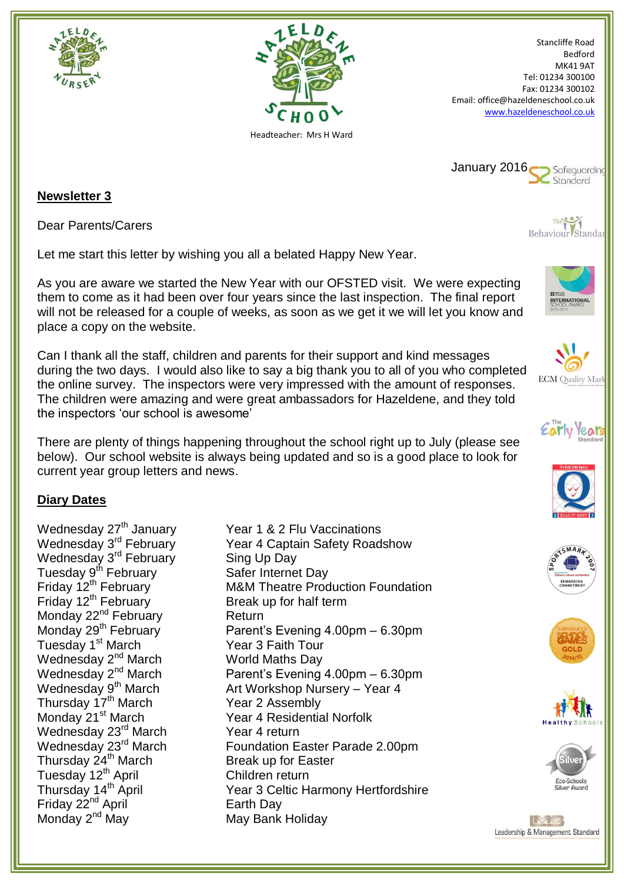



Stancliffe Road Bedford MK41 9AT Tel: 01234 300100 Fax: 01234 300102 Email: office@hazeldeneschool.co.uk [www.hazeldeneschool.co.uk](http://www.hazeldeneschool.co.uk/)



## **Newsletter 3**

Dear Parents/Carers

Let me start this letter by wishing you all a belated Happy New Year.

As you are aware we started the New Year with our OFSTED visit. We were expecting them to come as it had been over four years since the last inspection. The final report will not be released for a couple of weeks, as soon as we get it we will let you know and place a copy on the website.

Can I thank all the staff, children and parents for their support and kind messages during the two days. I would also like to say a big thank you to all of you who completed the online survey. The inspectors were very impressed with the amount of responses. The children were amazing and were great ambassadors for Hazeldene, and they told the inspectors 'our school is awesome'

There are plenty of things happening throughout the school right up to July (please see below). Our school website is always being updated and so is a good place to look for current year group letters and news.

## **Diary Dates**

Wednesday  $27<sup>th</sup>$  January Year 1 & 2 Flu Vaccinations Wednesday 3<sup>rd</sup> February Wednesday 3<sup>rd</sup> February Sing Up Day Tuesday 9<sup>th</sup> February Safer Internet Day<br>Friday 12<sup>th</sup> February M&M Theatre Prod Friday 12<sup>th</sup> February Break up for half term Monday 22<sup>nd</sup> February Return Monday 22 Tebruary<br>
Monday 29<sup>th</sup> February<br>
Tuesday 1<sup>st</sup> March Year 3 Faith Tour Wednesday 2<sup>nd</sup> March World Maths Day<br>Wednesday 2<sup>nd</sup> March Parent's Evening  $T$  Wednesday 9<sup>th</sup> March  $T$  Art Workshop Nu<br>
Thursday 17<sup>th</sup> March Year 2 Assembly Wednesday 23<sup>rd</sup> March Year 4 return Thursday 24<sup>th</sup> March Break up for Easter Tuesday 12<sup>th</sup> April Children return<br>Thursday 14<sup>th</sup> April Children 3 Celtic H Friday 22<sup>nd</sup> April **Earth Day** Monday 2<sup>nd</sup> May Nay May Bank Holiday

Year 4 Captain Safety Roadshow M&M Theatre Production Foundation Parent's Evening 4.00pm – 6.30pm Parent's Evening 4.00pm – 6.30pm Art Workshop Nursery – Year 4 Monday 21<sup>st</sup> March Year 4 Residential Norfolk Wednesday 23<sup>rd</sup> March Foundation Easter Parade 2.00pm Year 3 Celtic Harmony Hertfordshire



Behaviour Standar